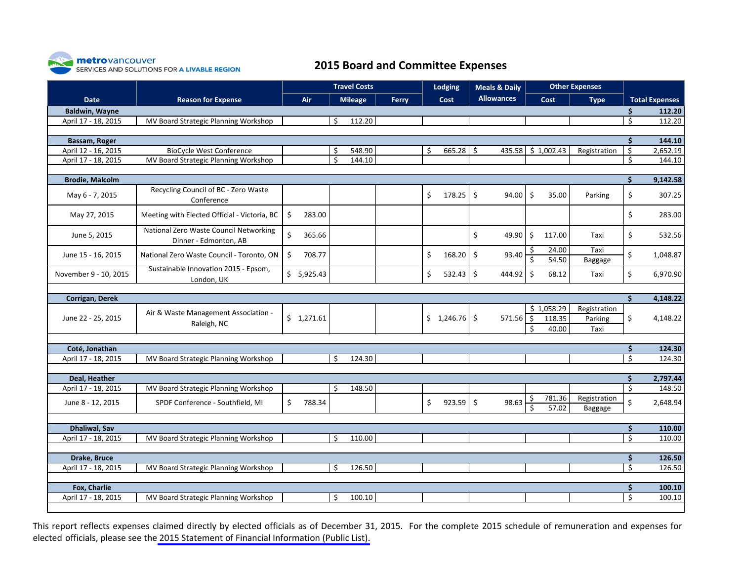

## **2015 Board and Committee Expenses**

|                        |                                                                 | <b>Travel Costs</b> |            |    |                |       |         | Lodging     |                     | <b>Meals &amp; Daily</b> |               | <b>Other Expenses</b>         |                                 |                           |                       |
|------------------------|-----------------------------------------------------------------|---------------------|------------|----|----------------|-------|---------|-------------|---------------------|--------------------------|---------------|-------------------------------|---------------------------------|---------------------------|-----------------------|
| <b>Date</b>            | <b>Reason for Expense</b>                                       |                     | Air        |    | <b>Mileage</b> | Ferry |         | Cost        |                     | <b>Allowances</b>        |               | Cost                          | <b>Type</b>                     |                           | <b>Total Expenses</b> |
| <b>Baldwin, Wayne</b>  |                                                                 |                     |            |    |                |       |         |             |                     |                          |               |                               |                                 | \$                        | 112.20                |
| April 17 - 18, 2015    | MV Board Strategic Planning Workshop                            |                     |            | Ŝ. | 112.20         |       |         |             |                     |                          |               |                               |                                 | $\overline{\mathsf{S}}$   | 112.20                |
|                        |                                                                 |                     |            |    |                |       |         |             |                     |                          |               |                               |                                 |                           |                       |
| Bassam, Roger          |                                                                 |                     |            |    |                |       |         |             |                     |                          |               |                               |                                 | \$                        | 144.10                |
| April 12 - 16, 2015    | <b>BioCycle West Conference</b>                                 |                     |            | Ŝ. | 548.90         |       | Ŝ.      | $665.28$ \$ |                     | 435.58                   |               | \$1,002.43                    | Registration                    | $\overline{\mathcal{S}}$  | 2,652.19              |
| April 17 - 18, 2015    | MV Board Strategic Planning Workshop                            |                     |            | Ŝ. | 144.10         |       |         |             |                     |                          |               |                               |                                 | \$                        | 144.10                |
| <b>Brodie, Malcolm</b> |                                                                 |                     |            |    |                |       |         |             |                     |                          |               |                               |                                 | $\dot{\mathsf{S}}$        | 9,142.58              |
| May 6 - 7, 2015        | Recycling Council of BC - Zero Waste<br>Conference              |                     |            |    |                |       | \$      | 178.25      | \$                  | 94.00                    | \$            | 35.00                         | Parking                         | \$                        | 307.25                |
| May 27, 2015           | Meeting with Elected Official - Victoria, BC                    | \$                  | 283.00     |    |                |       |         |             |                     |                          |               |                               |                                 | \$                        | 283.00                |
| June 5, 2015           | National Zero Waste Council Networking<br>Dinner - Edmonton, AB | $\zeta$             | 365.66     |    |                |       |         |             | \$                  | 49.90                    | \$            | 117.00                        | Taxi                            | \$                        | 532.56                |
| June 15 - 16, 2015     | National Zero Waste Council - Toronto, ON                       | \$                  | 708.77     |    |                |       | $\zeta$ | 168.20      | $\zeta$             | 93.40                    | S<br>Ś        | 24.00<br>54.50                | Taxi<br>Baggage                 | \$                        | 1,048.87              |
| November 9 - 10, 2015  | Sustainable Innovation 2015 - Epsom,<br>London, UK              |                     | \$5,925.43 |    |                |       | \$      | $532.43$ \$ |                     | 444.92                   | $\zeta$       | 68.12                         | Taxi                            | \$                        | 6,970.90              |
|                        |                                                                 |                     |            |    |                |       |         |             |                     |                          |               |                               |                                 |                           |                       |
| Corrigan, Derek        |                                                                 |                     |            |    |                |       |         |             |                     |                          |               |                               |                                 | Ś.                        | 4,148.22              |
| June 22 - 25, 2015     | Air & Waste Management Association -<br>Raleigh, NC             |                     | \$1,271.61 |    |                |       |         | \$1,246.76  |                     | 571.56                   | $\zeta$<br>Ś. | \$1,058.29<br>118.35<br>40.00 | Registration<br>Parking<br>Taxi | \$                        | 4,148.22              |
|                        |                                                                 |                     |            |    |                |       |         |             |                     |                          |               |                               |                                 |                           |                       |
| Coté, Jonathan         |                                                                 |                     |            |    |                |       |         |             |                     |                          |               |                               |                                 | \$                        | 124.30                |
| April 17 - 18, 2015    | MV Board Strategic Planning Workshop                            |                     |            | Ŝ. | 124.30         |       |         |             |                     |                          |               |                               |                                 | $\boldsymbol{\mathsf{S}}$ | 124.30                |
| Deal, Heather          |                                                                 |                     |            |    |                |       |         |             |                     |                          |               |                               |                                 | \$                        | 2,797.44              |
| April 17 - 18, 2015    | MV Board Strategic Planning Workshop                            |                     |            | Ŝ. | 148.50         |       |         |             |                     |                          |               |                               |                                 | $\boldsymbol{\mathsf{S}}$ | 148.50                |
| June 8 - 12, 2015      | SPDF Conference - Southfield, MI                                | \$                  | 788.34     |    |                |       | \$      | 923.59      | $\ddot{\mathsf{S}}$ | 98.63                    | \$<br>\$      | 781.36<br>57.02               | Registration<br>Baggage         | \$                        | 2,648.94              |
|                        |                                                                 |                     |            |    |                |       |         |             |                     |                          |               |                               |                                 |                           |                       |
| <b>Dhaliwal, Sav</b>   |                                                                 |                     |            |    |                |       |         |             |                     |                          |               |                               |                                 | $\dot{\mathsf{S}}$        | 110.00                |
| April 17 - 18, 2015    | MV Board Strategic Planning Workshop                            |                     |            | S. | 110.00         |       |         |             |                     |                          |               |                               |                                 | $\overline{\varsigma}$    | 110.00                |
| Drake, Bruce           |                                                                 |                     |            |    |                |       |         |             |                     |                          |               |                               |                                 | \$                        | 126.50                |
| April 17 - 18, 2015    | MV Board Strategic Planning Workshop                            |                     |            | Ŝ. | 126.50         |       |         |             |                     |                          |               |                               |                                 | $\boldsymbol{\mathsf{S}}$ | 126.50                |
|                        |                                                                 |                     |            |    |                |       |         |             |                     |                          |               |                               |                                 |                           |                       |
| Fox, Charlie           |                                                                 |                     |            |    |                |       |         |             |                     |                          |               |                               |                                 | \$                        | 100.10                |
| April 17 - 18, 2015    | MV Board Strategic Planning Workshop                            |                     |            | Ŝ. | 100.10         |       |         |             |                     |                          |               |                               |                                 | Ŝ.                        | 100.10                |

This report reflects expenses claimed directly by elected officials as of December 31, 2015. For the complete 2015 schedule of remuneration and expenses for elected officials, please see the [2015 Statement of Financial Information \(Public List\).](http://www.metrovancouver.org/services/financial-services/programs-budget/BudgetPublications/2015FIPubliclist.pdf)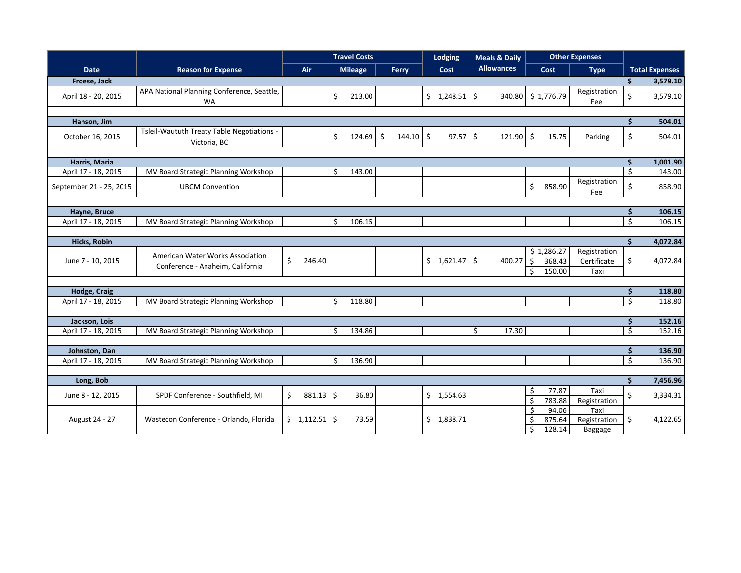|                         |                                                                      | <b>Travel Costs</b> |    |                |                     |             |  | <b>Lodging</b> |    | <b>Meals &amp; Daily</b> |                                                | <b>Other Expenses</b>          |                                     |                                 |                       |
|-------------------------|----------------------------------------------------------------------|---------------------|----|----------------|---------------------|-------------|--|----------------|----|--------------------------|------------------------------------------------|--------------------------------|-------------------------------------|---------------------------------|-----------------------|
| <b>Date</b>             | <b>Reason for Expense</b>                                            | Air                 |    | <b>Mileage</b> |                     | Ferry       |  | Cost           |    | <b>Allowances</b>        |                                                | Cost                           | <b>Type</b>                         |                                 | <b>Total Expenses</b> |
| Froese, Jack            |                                                                      |                     |    |                |                     |             |  |                |    |                          |                                                |                                |                                     | Ś.                              | 3,579.10              |
| April 18 - 20, 2015     | APA National Planning Conference, Seattle,<br><b>WA</b>              |                     | \$ | 213.00         |                     |             |  | $$1,248.51$ \$ |    | 340.80                   |                                                | \$1,776.79                     | Registration<br>Fee                 | \$                              | 3,579.10              |
|                         |                                                                      |                     |    |                |                     |             |  |                |    |                          |                                                |                                |                                     |                                 |                       |
| Hanson, Jim             |                                                                      |                     |    |                |                     |             |  |                |    |                          |                                                |                                |                                     | Ś.                              | 504.01                |
| October 16, 2015        | Tsleil-Waututh Treaty Table Negotiations -<br>Victoria, BC           |                     | \$ | 124.69         | $\ddot{\mathsf{S}}$ | $144.10 \S$ |  | $97.57$ \$     |    | 121.90                   | $\zeta$                                        | 15.75                          | Parking                             | \$                              | 504.01                |
|                         |                                                                      |                     |    |                |                     |             |  |                |    |                          |                                                |                                |                                     |                                 |                       |
| Harris, Maria           |                                                                      |                     |    |                |                     |             |  |                |    |                          |                                                |                                |                                     | Ś.                              | 1,001.90              |
| April 17 - 18, 2015     | MV Board Strategic Planning Workshop                                 |                     | Ŝ. | 143.00         |                     |             |  |                |    |                          |                                                |                                |                                     | $\mathsf{S}$                    | 143.00                |
| September 21 - 25, 2015 | <b>UBCM Convention</b>                                               |                     |    |                |                     |             |  |                |    |                          | $\zeta$                                        | 858.90                         | Registration<br>Fee                 | \$                              | 858.90                |
|                         |                                                                      |                     |    |                |                     |             |  |                |    |                          |                                                |                                |                                     |                                 |                       |
| Hayne, Bruce            |                                                                      |                     |    |                |                     |             |  |                |    |                          |                                                |                                |                                     | \$                              | 106.15                |
| April 17 - 18, 2015     | MV Board Strategic Planning Workshop                                 |                     | Ŝ  | 106.15         |                     |             |  |                |    |                          |                                                |                                |                                     | $\overline{\varsigma}$          | 106.15                |
|                         |                                                                      |                     |    |                |                     |             |  |                |    |                          |                                                |                                |                                     |                                 |                       |
| Hicks, Robin            |                                                                      |                     |    |                |                     |             |  |                |    |                          |                                                |                                |                                     | \$                              | 4,072.84              |
| June 7 - 10, 2015       | American Water Works Association<br>Conference - Anaheim, California | \$<br>246.40        |    |                |                     |             |  | $$1,621.47$ \$ |    | 400.27                   | $\ddot{\mathsf{S}}$<br>Ŝ.                      | \$1,286.27<br>368.43<br>150.00 | Registration<br>Certificate<br>Taxi | \$                              | 4,072.84              |
|                         |                                                                      |                     |    |                |                     |             |  |                |    |                          |                                                |                                |                                     |                                 |                       |
| Hodge, Craig            |                                                                      |                     |    |                |                     |             |  |                |    |                          |                                                |                                |                                     | \$                              | 118.80                |
| April 17 - 18, 2015     | MV Board Strategic Planning Workshop                                 |                     |    | 118.80         |                     |             |  |                |    |                          |                                                |                                |                                     | $\overline{\mathsf{S}}$         | 118.80                |
|                         |                                                                      |                     |    |                |                     |             |  |                |    |                          |                                                |                                |                                     |                                 |                       |
| Jackson, Lois           |                                                                      |                     |    |                |                     |             |  |                |    |                          |                                                |                                |                                     | \$                              | 152.16                |
| April 17 - 18, 2015     | MV Board Strategic Planning Workshop                                 |                     | Ś. | 134.86         |                     |             |  |                | Ś. | 17.30                    |                                                |                                |                                     | $\mathsf{S}$                    | 152.16                |
|                         |                                                                      |                     |    |                |                     |             |  |                |    |                          |                                                |                                |                                     |                                 |                       |
| Johnston, Dan           | MV Board Strategic Planning Workshop                                 |                     | Ŝ. | 136.90         |                     |             |  |                |    |                          |                                                |                                |                                     | \$<br>$\boldsymbol{\mathsf{S}}$ | 136.90<br>136.90      |
| April 17 - 18, 2015     |                                                                      |                     |    |                |                     |             |  |                |    |                          |                                                |                                |                                     |                                 |                       |
| Long, Bob               |                                                                      |                     |    |                |                     |             |  |                |    |                          |                                                |                                |                                     | \$                              | 7,456.96              |
| June 8 - 12, 2015       | SPDF Conference - Southfield, MI                                     | Ŝ.<br>$881.13$ \$   |    | 36.80          |                     |             |  | \$1,554.63     |    |                          | \$<br>$\zeta$                                  | 77.87<br>783.88                | Taxi<br>Registration                | $\zeta$                         | 3,334.31              |
| August 24 - 27          | Wastecon Conference - Orlando, Florida                               | $$1,112.51$ $$$     |    | 73.59          |                     |             |  | \$1,838.71     |    |                          | $\zeta$<br>$\zeta$<br>$\overline{\mathcal{S}}$ | 94.06<br>875.64<br>128.14      | Taxi<br>Registration<br>Baggage     | \$                              | 4,122.65              |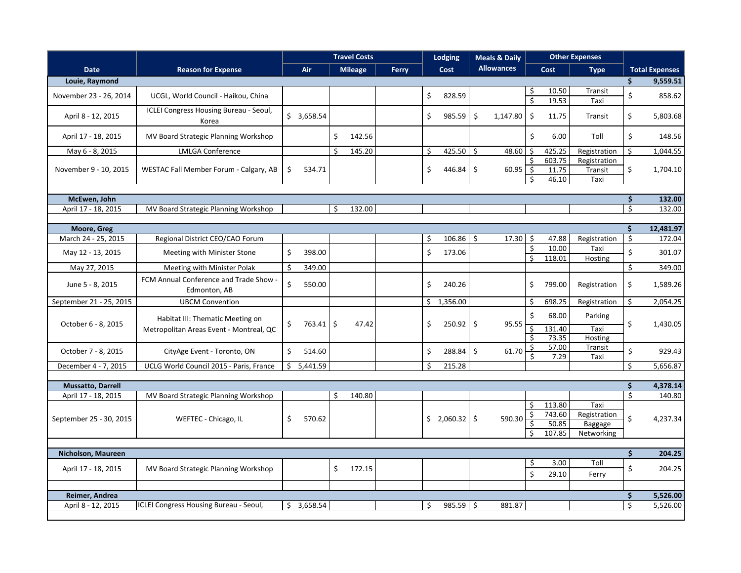|                                     |                                                                             |                 | <b>Travel Costs</b> |                | <b>Lodging</b> |    | <b>Meals &amp; Daily</b> |         | <b>Other Expenses</b> |                      |                                     |                                               |         |                       |
|-------------------------------------|-----------------------------------------------------------------------------|-----------------|---------------------|----------------|----------------|----|--------------------------|---------|-----------------------|----------------------|-------------------------------------|-----------------------------------------------|---------|-----------------------|
| <b>Date</b>                         | <b>Reason for Expense</b>                                                   | Air             |                     | <b>Mileage</b> | <b>Ferry</b>   |    | Cost                     |         | <b>Allowances</b>     |                      | Cost                                | <b>Type</b>                                   |         | <b>Total Expenses</b> |
| Louie, Raymond                      |                                                                             |                 |                     |                |                |    |                          |         |                       |                      |                                     |                                               | Ś.      | 9,559.51              |
| November 23 - 26, 2014              | UCGL, World Council - Haikou, China                                         |                 |                     |                |                | \$ | 828.59                   |         |                       | -\$                  | 10.50                               | Transit                                       | \$      | 858.62                |
|                                     |                                                                             |                 |                     |                |                |    |                          |         |                       | \$                   | 19.53                               | Taxi                                          |         |                       |
| April 8 - 12, 2015                  | <b>ICLEI Congress Housing Bureau - Seoul,</b><br>Korea                      | \$3,658.54      |                     |                |                | \$ | 985.59                   | \$      | 1,147.80              | $\zeta$              | 11.75                               | Transit                                       | \$      | 5,803.68              |
| April 17 - 18, 2015                 | MV Board Strategic Planning Workshop                                        |                 | \$                  | 142.56         |                |    |                          |         |                       | \$                   | 6.00                                | Toll                                          | \$      | 148.56                |
| May 6 - 8, 2015                     | <b>LMLGA Conference</b>                                                     |                 | Ŝ                   | 145.20         |                | Ŝ. | 425.50 \$                |         | 48.60                 | Ŝ.                   | 425.25                              | Registration                                  | \$      | 1,044.55              |
| November 9 - 10, 2015               | WESTAC Fall Member Forum - Calgary, AB                                      | 534.71<br>\$    |                     |                |                | \$ | 446.84                   | $\zeta$ | $60.95$ \$            | Ŝ.<br>Ŝ.             | 603.75<br>11.75<br>46.10            | Registration<br>Transit<br>Taxi               | \$      | 1,704.10              |
|                                     |                                                                             |                 |                     |                |                |    |                          |         |                       |                      |                                     |                                               | \$      |                       |
| McEwen, John<br>April 17 - 18, 2015 | MV Board Strategic Planning Workshop                                        |                 | Ŝ                   | 132.00         |                |    |                          |         |                       |                      |                                     |                                               | Ŝ.      | 132.00<br>132.00      |
|                                     |                                                                             |                 |                     |                |                |    |                          |         |                       |                      |                                     |                                               |         |                       |
| Moore, Greg                         |                                                                             |                 |                     |                |                |    |                          |         |                       |                      |                                     |                                               | Ś.      | 12,481.97             |
| March 24 - 25, 2015                 | Regional District CEO/CAO Forum                                             |                 |                     |                |                | Ŝ. | 106.86                   | Ŝ.      | 17.30                 | Ŝ.                   | 47.88                               | Registration                                  | \$      | 172.04                |
| May 12 - 13, 2015                   | Meeting with Minister Stone                                                 | \$<br>398.00    |                     |                |                | \$ | 173.06                   |         |                       | \$<br>S.             | 10.00<br>118.01                     | Taxi<br>Hosting                               | \$      | 301.07                |
| May 27, 2015                        | Meeting with Minister Polak                                                 | 349.00<br>\$    |                     |                |                |    |                          |         |                       |                      |                                     |                                               | \$      | 349.00                |
| June 5 - 8, 2015                    | FCM Annual Conference and Trade Show -<br>Edmonton, AB                      | \$<br>550.00    |                     |                |                | \$ | 240.26                   |         |                       | \$                   | 799.00                              | Registration                                  | \$      | 1,589.26              |
| September 21 - 25, 2015             | <b>UBCM Convention</b>                                                      |                 |                     |                |                |    | \$1,356.00               |         |                       | \$                   | 698.25                              | Registration                                  | \$      | 2,054.25              |
| October 6 - 8, 2015                 | Habitat III: Thematic Meeting on<br>Metropolitan Areas Event - Montreal, QC | 763.41 \$<br>\$ |                     | 47.42          |                | \$ | $250.92$ \$              |         | 95.55                 | \$<br>\$             | 68.00<br>131.40<br>73.35            | Parking<br>Taxi<br>Hosting                    | \$      | 1,430.05              |
| October 7 - 8, 2015                 | CityAge Event - Toronto, ON                                                 | Ś.<br>514.60    |                     |                |                | \$ | 288.84                   | \$      | 61.70                 | \$.<br>Ŝ.            | 57.00<br>7.29                       | Transit<br>Taxi                               | \$      | 929.43                |
| December 4 - 7, 2015                | UCLG World Council 2015 - Paris, France                                     | 5,441.59<br>\$  |                     |                |                | Ŝ. | 215.28                   |         |                       |                      |                                     |                                               | \$      | 5,656.87              |
|                                     |                                                                             |                 |                     |                |                |    |                          |         |                       |                      |                                     |                                               |         |                       |
| <b>Mussatto, Darrell</b>            |                                                                             |                 |                     |                |                |    |                          |         |                       |                      |                                     |                                               | \$      | 4,378.14              |
| April 17 - 18, 2015                 | MV Board Strategic Planning Workshop                                        |                 | S                   | 140.80         |                |    |                          |         |                       |                      |                                     |                                               | $\zeta$ | 140.80                |
| September 25 - 30, 2015             | WEFTEC - Chicago, IL                                                        | 570.62<br>\$    |                     |                |                |    | \$2,060.32               |         | 590.30                | Ŝ.<br>\$<br>\$<br>Ŝ. | 113.80<br>743.60<br>50.85<br>107.85 | Taxi<br>Registration<br>Baggage<br>Networking | \$      | 4,237.34              |
|                                     |                                                                             |                 |                     |                |                |    |                          |         |                       |                      |                                     |                                               |         |                       |
| Nicholson, Maureen                  |                                                                             |                 |                     |                |                |    |                          |         |                       |                      |                                     |                                               | \$      | 204.25                |
| April 17 - 18, 2015                 | MV Board Strategic Planning Workshop                                        |                 | \$                  | 172.15         |                |    |                          |         |                       | \$<br>\$             | 3.00<br>29.10                       | Toll<br>Ferry                                 | \$      | 204.25                |
|                                     |                                                                             |                 |                     |                |                |    |                          |         |                       |                      |                                     |                                               |         |                       |
| Reimer, Andrea                      |                                                                             |                 |                     |                |                |    |                          |         |                       |                      |                                     |                                               | \$      | 5,526.00              |
| April 8 - 12, 2015                  | <b>ICLEI Congress Housing Bureau - Seoul,</b>                               | \$3,658.54      |                     |                |                | \$ | $985.59$ \$              |         | 881.87                |                      |                                     |                                               | \$      | 5,526.00              |